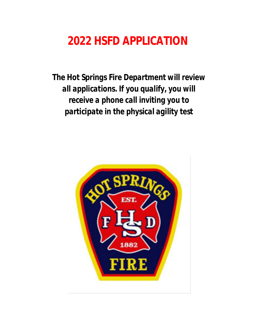# **2022 HSFD APPLICATION**

*The Hot Springs Fire Department will review all applications. If you qualify, you will receive a phone call inviting you to participate in the physical agility test*

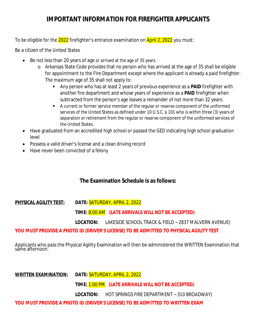## **IMPORTANT INFORMATION FOR FIREFIGHTER APPLICANTS**

To be eligible for the 2022 firefighter's entrance examination on April 2, 2022 you must:

Be a citizen of the United States

- Be not less than 20 years of age or arrived at the age of 35 years
	- o Arkansas State Code provides that no person who has arrived at the age of 35 shall be eligible for appointment to the Fire Department except where the applicant is already a paid firefighter. The maximum age of 35 shall not apply to:
		- Any person who has at least 2 years of previous experience as a **PAID** firefighter with another fire department and whose years of experience as a **PAID** firefighter when subtracted from the person's age leaves a remainder of not more than 32 years.
		- A current or former service member of the regular or reserve component of the uniformed services of the United States as defined under 10 U.S.C. § 101 who is within three (3) years of separation or retirement from the regular or reserve component of the uniformed services of the United States.
- Have graduated from an accredited high school or passed the GED indicating high school graduation level
- Possess a valid driver's license and a clean driving record
- Have never been convicted of a felony

## **The Examination Schedule is as follows:**

**PHYSICAL AGILITY TEST: DATE:** SATURDAY, APRIL 2, 2022

**TIME:** 8:00 AM **(LATE ARRIVALS WILL NOT BE ACCEPTED)**

**LOCATION:** LAKESIDE SCHOOL TRACK & FIELD ~ 2837 MALVERN AVENUE)

## **YOU MUST PROVIDE A PHOTO ID (DRIVER'S LICENSE) TO BE ADMITTED TO PHYSICAL AGILITY TEST**

Applicants who pass the Physical Agility Examination will then be administered the WRITTEN Examination that same afternoon.

**WRITTEN EXAMINATION: DATE:** SATURDAY, APRIL 2, 2022

**TIME:** 1:00 PM **(LATE ARRIVALS WILL NOT BE ACCEPTED)**

**LOCATION:** HOT SPRINGS FIRE DEPARTMENT ~ 310 BROADWAY)

**YOU MUST PROVIDE A PHOTO ID (DRIVER'S LICENSE) TO BE ADMITTED TO WRITTEN EXAM**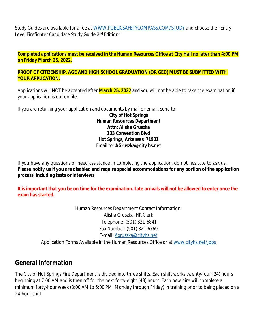Study Guides are available for a fee at [WWW.PUBLICSAFETYCOMPASS.COM/STUDY](http://WWW.PUBLICSAFETYCOMPASS.COM/STUDY) and choose the "Entry-Level Firefighter Candidate Study Guide 2nd Edition"

*Completed applications must be received in the Human Resources Office at City Hall no later than 4:00 PM on Friday March 25, 2022.*

#### **PROOF OF CITIZENSHIP, AGE AND HIGH SCHOOL GRADUATION (OR GED) MUST BE SUBMITTED WITH YOUR APPLICATION.**

Applications will NOT be accepted after **March 25, 2022** and you will not be able to take the examination if your application is not on file.

If you are returning your application and documents by mail or email, send to: **City of Hot Springs Human Resources Department Attn: Alisha Gruszka 133 Convention Blvd Hot Springs, Arkansas 71901** Email to: **AGruszka@city hs.net**

If you have any questions or need assistance in completing the application, do not hesitate to ask us. Please notify us if you are disabled and require special accommodations for any portion of the application **process, including tests or interviews**.

**It is important that you be on time for the examination. Late arrivals will not be allowed to enter once the exam has started.**

> Human Resources Department Contact Information: Alisha Gruszka, HR Clerk Telephone: (501) 321-6841 Fax Number: (501) 321-6769 E-mail: [Agruszka@cityhs.net](mailto:Agruszka@cityhs.net) Application Forms Available in the Human Resources Office or at [www.cityhs.net/jobs](http://www.cityhs.net/jobs)

## **General Information**

The City of Hot Springs Fire Department is divided into three shifts. Each shift works twenty-four (24) hours beginning at 7:00 AM and is then off for the next forty-eight (48) hours. Each new hire will complete a minimum forty-hour week (8:00 AM to 5:00 PM, Monday through Friday) in training prior to being placed on a 24-hour shift.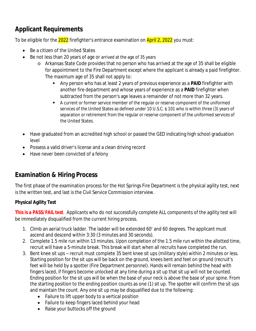## **Applicant Requirements**

To be eligible for the 2022 firefighter's entrance examination on April 2, 2022 you must:

- Be a citizen of the United States
- Be not less than 20 years of age or arrived at the age of 35 years
	- o Arkansas State Code provides that no person who has arrived at the age of 35 shall be eligible for appointment to the Fire Department except where the applicant is already a paid firefighter. The maximum age of 35 shall not apply to:
		- Any person who has at least 2 years of previous experience as a **PAID** firefighter with another fire department and whose years of experience as a **PAID** firefighter when subtracted from the person's age leaves a remainder of not more than 32 years.
		- A current or former service member of the regular or reserve component of the uniformed services of the United States as defined under 10 U.S.C. § 101 who is within three (3) years of separation or retirement from the regular or reserve component of the uniformed services of the United States.
- Have graduated from an accredited high school or passed the GED indicating high school graduation level
- Possess a valid driver's license and a clean driving record
- Have never been convicted of a felony

## **Examination & Hiring Process**

The first phase of the examination process for the Hot Springs Fire Department is the physical agility test, next is the written test, and last is the Civil Service Commission interview.

## **Physical Agility Test**

**This is a PASS/FAIL test**. Applicants who do not successfully complete ALL components of the agility test will be immediately disqualified from the current hiring process.

- 1. Climb an aerial truck ladder. The ladder will be extended 60' and 60 degrees. The applicant must ascend and descend within 3:30 (3 minutes and 30 seconds).
- 2. Complete 1.5 mile run within 13 minutes. Upon completion of the 1.5 mile run within the allotted time, recruit will have a 5-minute break. This break will start when all recruits have completed the run.
- 3. Bent knee sit ups recruit must complete 35 bent knee sit ups (military style) within 2 minutes or less. Starting position for the sit ups will be back on the ground, knees bent and feet on ground (recruit's feet will be held by a spotter (Fire Department personnel). Hands will remain behind the head with fingers laced, if fingers become unlocked at any time during a sit up that sit up will not be counted. Ending position for the sit ups will be when the base of your neck is above the base of your spine. From the starting position to the ending position counts as one (1) sit up. The spotter will confirm the sit ups and maintain the count. Any one sit up may be disqualified due to the following:
	- Failure to lift upper body to a vertical position
	- Failure to keep fingers laced behind your head
	- Raise your buttocks off the ground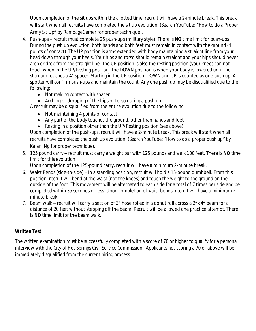Upon completion of the sit ups within the allotted time, recruit will have a 2-minute break. This break will start when all recruits have completed the sit up evolution. (Search YouTube: "How to do a Proper Army Sit Up" by RampageGamer for proper technique).

- 4. Push-ups recruit must complete 25 push-ups (military style). There is **NO** time limit for push-ups. During the push up evolution, both hands and both feet must remain in contact with the ground (4 points of contact). The UP position is arms extended with body maintaining a straight line from your head down through your heels. Your hips and torso should remain straight and your hips should never arch or drop from the straight line. The UP position is also the resting position (your knees can not touch when in the UP/Resting position. The DOWN position is when your body is lowered until the sternum touches a 4" spacer. Starting in the UP position, DOWN and UP is counted as one push up. A spotter will confirm push-ups and maintain the count. Any one push up may be disqualified due to the following:
	- Not making contact with spacer
	- Arching or dropping of the hips or torso during a push up

A recruit may be disqualified from the entire evolution due to the following:

- Not maintaining 4 points of contact
- Any part of the body touches the ground, other than hands and feet
- Resting in a position other than the UP/Resting position (see above)

Upon completion of the push-ups, recruit will have a 2-minute break. This break will start when all recruits have completed the push up evolution. *(Search YouTube: "How to do a proper push up" by Kalani Ng for proper technique*).

5. 125 pound carry – recruit must carry a weight bar with 125 pounds and walk 100 feet. There is **NO** time limit for this evolution.

Upon completion of the 125-pound carry, recruit will have a minimum 2-minute break.

- 6. Waist Bends (side-to-side) In a standing position, recruit will hold a 15-pound dumbbell. From this position, recruit will bend at the waist (not the knees) and touch the weight to the ground on the outside of the foot. This movement will be alternated to each side for a total of 7 times per side and be completed within 35 seconds or less. Upon completion of waist bends, recruit will have a minimum 2 minute break.
- 7. Beam walk recruit will carry a section of 3" hose rolled in a donut roll across a 2"x 4" beam for a distance of 20 feet without stepping off the beam. Recruit will be allowed one practice attempt. There is **NO** time limit for the beam walk.

### **Written Test**

The written examination must be successfully completed with a score of 70 or higher to qualify for a personal interview with the City of Hot Springs Civil Service Commission. Applicants not scoring a 70 or above will be immediately disqualified from the current hiring process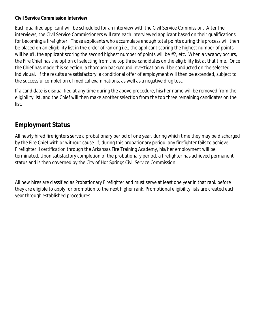### **Civil Service Commission Interview**

Each qualified applicant will be scheduled for an interview with the Civil Service Commission. After the interviews, the Civil Service Commissioners will rate each interviewed applicant based on their qualifications for becoming a firefighter. Those applicants who accumulate enough total points during this process will then be placed on an eligibility list in the order of ranking i.e., the applicant scoring the highest number of points will be #1, the applicant scoring the second highest number of points will be #2, etc. When a vacancy occurs, the Fire Chief has the option of selecting from the top three candidates on the eligibility list at that time. Once the Chief has made this selection, a thorough background investigation will be conducted on the selected individual. If the results are satisfactory, a conditional offer of employment will then be extended, subject to the successful completion of medical examinations, as well as a negative drug test.

If a candidate is disqualified at any time during the above procedure, his/her name will be removed from the eligibility list, and the Chief will then make another selection from the top three remaining candidates on the list.

## **Employment Status**

All newly hired firefighters serve a probationary period of one year, during which time they may be discharged by the Fire Chief with or without cause. If, during this probationary period, any firefighter fails to achieve Firefighter II certification through the Arkansas Fire Training Academy, his/her employment will be terminated. Upon satisfactory completion of the probationary period, a firefighter has achieved permanent status and is then governed by the City of Hot Springs Civil Service Commission.

All new hires are classified as Probationary Firefighter and must serve at least one year in that rank before they are eligible to apply for promotion to the next higher rank. Promotional eligibility lists are created each year through established procedures.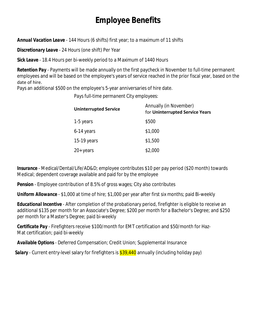## **Employee Benefits**

*Annual Vacation Leave* - 144 Hours (6 shifts) first year; to a maximum of 11 shifts

*Discretionary Leave* - 24 Hours (one shift) Per Year

*Sick Leave* - 18.4 Hours per bi-weekly period to a Maximum of 1440 Hours

*Retention Pay* - Payments will be made annually on the first paycheck in November to full-time permanent employees and will be based on the employee's years of service reached in the prior fiscal year, based on the date of hire.

Pays an additional \$500 on the employee's 5-year anniversaries of hire date.

*Pays full-time permanent City employees:*

| <b>Uninterrupted Service</b> | Annually (in November)<br>for Uninterrupted Service Years |  |  |
|------------------------------|-----------------------------------------------------------|--|--|
| 1-5 years                    | \$500                                                     |  |  |
| 6-14 years                   | \$1,000                                                   |  |  |
| 15-19 years                  | \$1,500                                                   |  |  |
| $20+$ years                  | \$2,000                                                   |  |  |

**Insurance** - Medical/Dental/Life/AD&D; employee contributes \$10 per pay period (\$20 month) towards Medical; dependent coverage available and paid for by the employee

**Pension** - Employee contribution of 8.5% of gross wages; City also contributes

**Uniform Allowance** - \$1,000 at time of hire; \$1,000 per year after first six months; paid Bi-weekly

*Educational Incentive* - After completion of the probationary period, firefighter is eligible to receive an additional \$135 per month for an Associate's Degree; \$200 per month for a Bachelor's Degree; and \$250 per month for a Master's Degree; paid bi-weekly

*Certificate Pay* - Firefighters receive \$100/month for EMT certification and \$50/month for Haz-Mat certification; paid bi-weekly

*Available Options* - Deferred Compensation; Credit Union; Supplemental Insurance

**Salary** - Current entry-level salary for firefighters is \$39,440 annually (including holiday pay)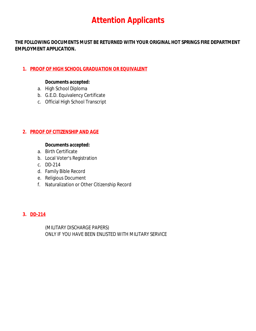## **Attention Applicants**

**THE FOLLOWING DOCUMENTS MUST BE RETURNED WITH YOUR ORIGINAL HOT SPRINGS FIRE DEPARTMENT EMPLOYMENT APPLICATION.**

## **1. PROOF OF HIGH SCHOOL GRADUATION OR EQUIVALENT**

### *Documents accepted:*

- a. High School Diploma
- b. G.E.D. Equivalency Certificate
- c. Official High School Transcript

### **2. PROOF OF CITIZENSHIP AND AGE**

### *Documents accepted:*

- a. Birth Certificate
- b. Local Voter's Registration
- c. DD-214
- d. Family Bible Record
- e. Religious Document
- f. Naturalization or Other Citizenship Record

### **3. DD-214**

(MILITARY DISCHARGE PAPERS) ONLY IF YOU HAVE BEEN ENLISTED WITH MILITARY SERVICE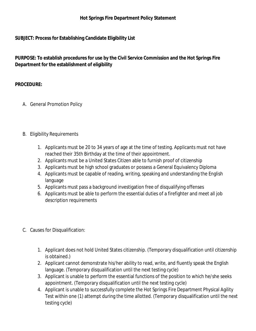### **Hot Springs Fire Department Policy Statement**

### **SUBJECT: Process for Establishing Candidate Eligibility List**

**PURPOSE: To establish procedures for use by the Civil Service Commission and the Hot Springs Fire Department for the establishment of eligibility**

### **PROCEDURE:**

- A. General Promotion Policy
- B. Eligibility Requirements
	- 1. Applicants must be 20 to 34 years of age at the time of testing. Applicants must not have reached their 35th Birthday at the time of their appointment.
	- 2. Applicants must be a United States Citizen able to furnish proof of citizenship
	- 3. Applicants must be high school graduates or possess a General Equivalency Diploma
	- 4. Applicants must be capable of reading, writing, speaking and understanding the English language
	- 5. Applicants must pass a background investigation free of disqualifying offenses
	- 6. Applicants must be able to perform the essential duties of a firefighter and meet all job description requirements
- C. Causes for Disqualification:
	- 1. Applicant does not hold United States citizenship. (Temporary disqualification until citizenship is obtained.)
	- 2. Applicant cannot demonstrate his/her ability to read, write, and fluently speak the English language. (Temporary disqualification until the next testing cycle)
	- 3. Applicant is unable to perform the essential functions of the position to which he/she seeks appointment. (Temporary disqualification until the next testing cycle)
	- 4. Applicant is unable to successfully complete the Hot Springs Fire Department Physical Agility Test within one (1) attempt during the time allotted. (Temporary disqualification until the next testing cycle)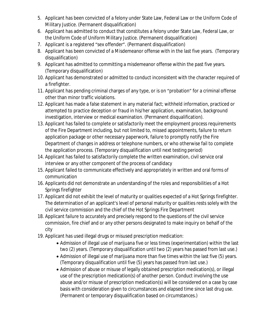- 5. Applicant has been convicted of a felony under State Law, Federal Law or the Uniform Code of Military Justice. (Permanent disqualification)
- 6. Applicant has admitted to conduct that constitutes a felony under State Law, Federal Law, or the Uniform Code of Uniform Military Justice. (Permanent disqualification)
- 7. Applicant is a registered "sex offender". (Permanent disqualification)
- 8. Applicant has been convicted of a Misdemeanor offense with in the last five years. (Temporary disqualification)
- 9. Applicant has admitted to committing a misdemeanor offense within the past five years. (Temporary disqualification)
- 10. Applicant has demonstrated or admitted to conduct inconsistent with the character required of a firefighter.
- 11. Applicant has pending criminal charges of any type, or is on "probation" for a criminal offense other than minor traffic violations.
- 12. Applicant has made a false statement in any material fact; withheld information, practiced or attempted to practice deception or fraud in his/her application, examination, background investigation, interview or medical examination. (Permanent disqualification).
- 13. Applicant has failed to complete or satisfactorily meet the employment process requirements of the Fire Department including, but not limited to, missed appointments, failure to return application package or other necessary paperwork, failure to promptly notify the Fire Department of changes in address or telephone numbers, or who otherwise fail to complete the application process. (Temporary disqualification until next testing period)
- 14. Applicant has failed to satisfactorily complete the written examination, civil service oral interview or any other component of the process of candidacy
- 15. Applicant failed to communicate effectively and appropriately in written and oral forms of communication
- 16. Applicants did not demonstrate an understanding of the roles and responsibilities of a Hot Springs firefighter
- 17. Applicant did not exhibit the level of maturity or qualities expected of a Hot Springs firefighter. The determination of an applicant's level of personal maturity or qualities rests solely with the civil service commission and the chief of the Hot Springs Fire Department
- 18. Applicant failure to accurately and precisely respond to the questions of the civil service commission, fire chief and or any other persons designated to make inquiry on behalf of the city
- 19. Applicant has used illegal drugs or misused prescription medication:
	- Admission of illegal use of marijuana five or less times (experimentation) within the last two (2) years. (Temporary disqualification until two (2) years has passed from last use.)
	- Admission of illegal use of marijuana more than five times within the last five (5) years. (Temporary disqualification until five (5) years has passed from last use.)
	- Admission of abuse or misuse of legally obtained prescription medication(s), or illegal use of the prescription medication(s) of another person. Conduct involving the use abuse and/or misuse of prescription medication(s) will be considered on a case by case basis with consideration given to circumstances and elapsed time since last drug use. (Permanent or temporary disqualification based on circumstances.)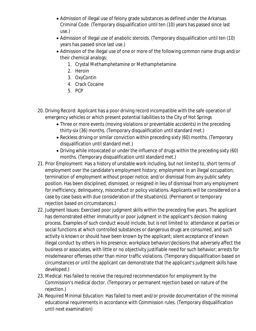- Admission of illegal use of felony grade substances as defined under the Arkansas Criminal Code. (Temporary disqualification until ten (10) years has passed since last use.)
- Admission of illegal use of anabolic steroids. (Temporary disqualification until ten (10) years has passed since last use.)
- Admission of the illegal use of one or more of the following common name drugs and/or their chemical analogs:
	- 1. Crystal Methamphetamine or Methamphetamine
	- 2. Heroin
	- 3. OxyContin
	- 4. Crack Cocaine
	- 5. PCP
- 20. Driving Record: Applicant has a poor driving record incompatible with the safe operation of emergency vehicles or which present potential liabilities to the City of Hot Springs
	- Three or more events (moving violations or preventable accidents) in the preceding thirty-six (36) months. (Temporary disqualification until standard met.)
	- Reckless driving or similar conviction within preceding sixty (60) months. (Temporary disqualification until standard met.)
	- Driving while intoxicated or under the influence of drugs within the preceding sixty (60) months. (Temporary disqualification until standard met.)
- 21. Prior Employment: Has a history of unstable work including, but not limited to, short terms of employment over the candidate's employment history; employment in an illegal occupation; termination of employment without proper notice; and/or dismissal from any public safety position. Has been disciplined, dismissed, or resigned in lieu of dismissal from any employment for inefficiency, delinquency, misconduct or policy violations. Applicants will be considered on a case by case basis with due consideration of the situation(s). (Permanent or temporary rejection based on circumstances.)
- 22. Judgment Issues: Exercised poor judgment skills within the preceding five years. The applicant has demonstrated either immaturity or poor judgment in the applicant's decision making process. Examples of such conduct would include, but is not limited to: attendance at parties or social functions at which controlled substances or dangerous drugs are consumed, and such activity is known or should have been known by the applicant; silent acceptance of known illegal conduct by others in his presence; workplace behavior/decisions that adversely affect the business or associates, with little or no objectivity justifiable need for such behavior; arrests for misdemeanor offenses other than minor traffic violations. (Temporary disqualification based on circumstances or until the applicant can demonstrate that the applicant's judgment skills have developed.)
- 23. Medical: Has failed to receive the required recommendation for employment by the Commission's medical doctor. (Temporary or permanent rejection based on nature of the rejection.)
- 24. Required Minimal Education: Has failed to meet and/or provide documentation of the minimal educational requirements in accordance with Commission rules. (Temporary disqualification until next examination)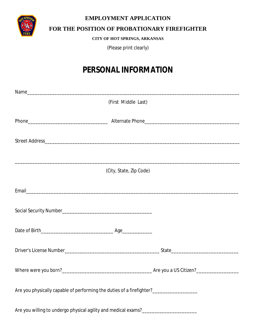

### **EMPLOYMENT APPLICATION**

## **FOR THE POSITION OF PROBATIONARY FIREFIGHTER**

**CITY OF HOT SPRINGS, ARKANSAS**

(Please print clearly)

## **PERSONAL INFORMATION**

| (First Middle Last)                                                                    |  |
|----------------------------------------------------------------------------------------|--|
|                                                                                        |  |
|                                                                                        |  |
|                                                                                        |  |
| (City, State, Zip Code)                                                                |  |
|                                                                                        |  |
|                                                                                        |  |
|                                                                                        |  |
|                                                                                        |  |
|                                                                                        |  |
| Are you physically capable of performing the duties of a firefighter?_________________ |  |
| Are you willing to undergo physical agility and medical exams?___________________      |  |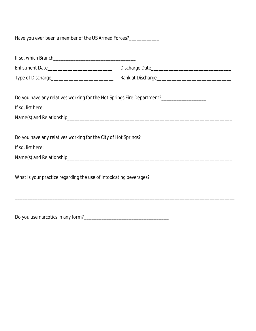| Have you ever been a member of the US Armed Forces?____________                         |  |
|-----------------------------------------------------------------------------------------|--|
|                                                                                         |  |
|                                                                                         |  |
|                                                                                         |  |
| Do you have any relatives working for the Hot Springs Fire Department?_________________ |  |
| If so, list here:                                                                       |  |
|                                                                                         |  |
|                                                                                         |  |
| Do you have any relatives working for the City of Hot Springs?_________________________ |  |
| If so, list here:                                                                       |  |
|                                                                                         |  |
|                                                                                         |  |
|                                                                                         |  |
|                                                                                         |  |
|                                                                                         |  |
|                                                                                         |  |
|                                                                                         |  |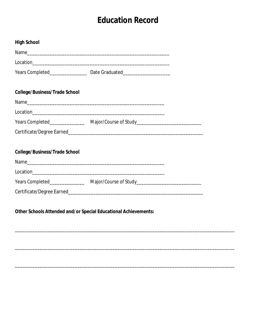## **Education Record**

| <b>High School</b>                   |                                                                                   |  |
|--------------------------------------|-----------------------------------------------------------------------------------|--|
|                                      |                                                                                   |  |
|                                      |                                                                                   |  |
|                                      |                                                                                   |  |
| <b>College/Business/Trade School</b> |                                                                                   |  |
|                                      |                                                                                   |  |
|                                      |                                                                                   |  |
|                                      | Years Completed_________________________Major/Course of Study___________________  |  |
|                                      |                                                                                   |  |
| <b>College/Business/Trade School</b> |                                                                                   |  |
|                                      |                                                                                   |  |
|                                      |                                                                                   |  |
|                                      | Years Completed__________________________Major/Course of Study___________________ |  |
|                                      |                                                                                   |  |
|                                      |                                                                                   |  |

Other Schools Attended and/or Special Educational Achievements: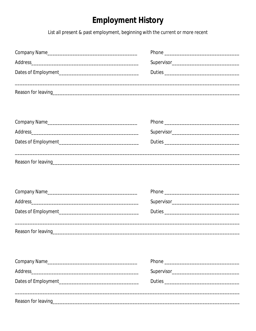## **Employment History**

List all present & past employment, beginning with the current or more recent

|                                                                                                                | Reason for leaving example and the contract of the contract of the contract of the contract of the contract of |  |  |
|----------------------------------------------------------------------------------------------------------------|----------------------------------------------------------------------------------------------------------------|--|--|
| Company Name                                                                                                   |                                                                                                                |  |  |
|                                                                                                                |                                                                                                                |  |  |
|                                                                                                                |                                                                                                                |  |  |
| Reason for leaving example and the contract of the contract of the contract of the contract of the contract of |                                                                                                                |  |  |
|                                                                                                                |                                                                                                                |  |  |
|                                                                                                                |                                                                                                                |  |  |
|                                                                                                                |                                                                                                                |  |  |
|                                                                                                                |                                                                                                                |  |  |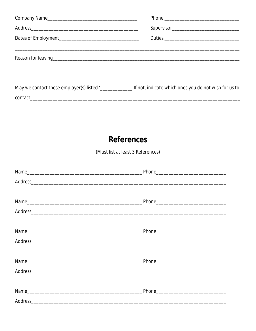| Company Name                                                                                                                                                                                                                   |  |
|--------------------------------------------------------------------------------------------------------------------------------------------------------------------------------------------------------------------------------|--|
| Address Address Address Address Address Address Address Address Address Address Address Address Address Address Address Address Address Address Address Address Address Address Address Address Address Address Address Addres |  |
|                                                                                                                                                                                                                                |  |
|                                                                                                                                                                                                                                |  |
|                                                                                                                                                                                                                                |  |
|                                                                                                                                                                                                                                |  |
|                                                                                                                                                                                                                                |  |
| May we contact these employer(s) listed?<br><u> Let</u> not, indicate which ones you do not wish for us to                                                                                                                     |  |
| contact the contact of the contact of the contact of the contact of the contact of the contact of the contact                                                                                                                  |  |

## **References**

(Must list at least 3 References)

| Address and the contract of the contract of the contract of the contract of the contract of the contract of the contract of the contract of the contract of the contract of the contract of the contract of the contract of th |  |
|--------------------------------------------------------------------------------------------------------------------------------------------------------------------------------------------------------------------------------|--|
|                                                                                                                                                                                                                                |  |
|                                                                                                                                                                                                                                |  |
|                                                                                                                                                                                                                                |  |
|                                                                                                                                                                                                                                |  |
|                                                                                                                                                                                                                                |  |
|                                                                                                                                                                                                                                |  |
|                                                                                                                                                                                                                                |  |
|                                                                                                                                                                                                                                |  |
| Address and the contract of the contract of the contract of the contract of the contract of the contract of the contract of the contract of the contract of the contract of the contract of the contract of the contract of th |  |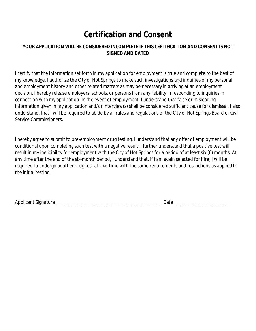## **Certification and Consent**

## **YOUR APPLICATION WILL BE CONSIDERED INCOMPLETE IF THIS CERTIFICATION AND CONSENT IS NOT SIGNED AND DATED**

I certify that the information set forth in my application for employment is true and complete to the best of my knowledge. I authorize the City of Hot Springs to make such investigations and inquiries of my personal and employment history and other related matters as may be necessary in arriving at an employment decision. I hereby release employers, schools, or persons from any liability in responding to inquiries in connection with my application. In the event of employment, I understand that false or misleading information given in my application and/or interview(s) shall be considered sufficient cause for dismissal. I also understand, that I will be required to abide by all rules and regulations of the City of Hot Springs Board of Civil Service Commissioners.

I hereby agree to submit to pre-employment drug testing. I understand that any offer of employment will be conditional upon completing such test with a negative result. I further understand that a positive test will result in my ineligibility for employment with the City of Hot Springs for a period of at least six (6) months. At any time after the end of the six-month period, I understand that, if I am again selected for hire, I will be required to undergo another drug test at that time with the same requirements and restrictions as applied to the initial testing.

Applicant Signature\_\_\_\_\_\_\_\_\_\_\_\_\_\_\_\_\_\_\_\_\_\_\_\_\_\_\_\_\_\_\_\_\_\_\_\_\_\_\_\_\_\_\_ Date\_\_\_\_\_\_\_\_\_\_\_\_\_\_\_\_\_\_\_\_\_\_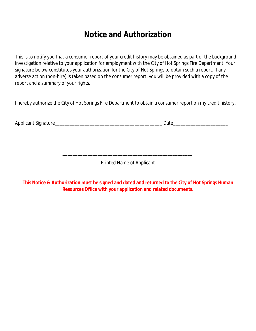## **Notice and Authorization**

This is to notify you that a consumer report of your credit history may be obtained as part of the background investigation relative to your application for employment with the City of Hot Springs Fire Department. Your signature below constitutes your authorization for the City of Hot Springs to obtain such a report. If any adverse action (non-hire) is taken based on the consumer report, you will be provided with a copy of the report and a summary of your rights.

I hereby authorize the City of Hot Springs Fire Department to obtain a consumer report on my credit history.

Applicant Signature\_\_\_\_\_\_\_\_\_\_\_\_\_\_\_\_\_\_\_\_\_\_\_\_\_\_\_\_\_\_\_\_\_\_\_\_\_\_\_\_\_\_\_ Date\_\_\_\_\_\_\_\_\_\_\_\_\_\_\_\_\_\_\_\_\_\_

Printed Name of Applicant

\_\_\_\_\_\_\_\_\_\_\_\_\_\_\_\_\_\_\_\_\_\_\_\_\_\_\_\_\_\_\_\_\_\_\_\_\_\_\_\_\_\_\_\_\_\_\_\_\_\_\_\_

**This Notice & Authorization must be signed and dated and returned to the City of Hot Springs Human Resources Office with your application and related documents.**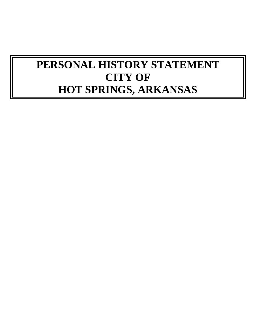# **PERSONAL HISTORY STATEMENT CITY OF HOT SPRINGS, ARKANSAS**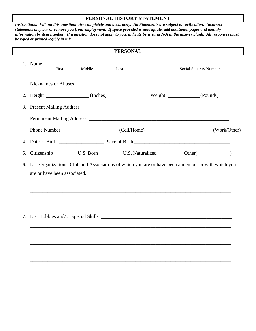#### **PERSONAL HISTORY STATEMENT**

*Instructions: Fill out this questionnaire completely and accurately. All Statements are subject to verification. Incorrect statements may bar or remove you from employment. If space provided is inadequate, add additional pages and identify information by item number. If a question does not apply to you, indicate by writing N/A in the answer blank. All responses must be typed or printed legibly in ink.*

|    |             |       |                                                                                                                                                                                                                                | <b>PERSONAL</b> |                                                                                                                                    |  |
|----|-------------|-------|--------------------------------------------------------------------------------------------------------------------------------------------------------------------------------------------------------------------------------|-----------------|------------------------------------------------------------------------------------------------------------------------------------|--|
|    | 1. Name     | First | Middle                                                                                                                                                                                                                         | Last            | Social Security Number                                                                                                             |  |
|    |             |       | Nicknames or Aliases Lawrence and the state of the state of the state of the state of the state of the state of the state of the state of the state of the state of the state of the state of the state of the state of the st |                 |                                                                                                                                    |  |
|    |             |       | 2. Height $\sqrt{ }$ (Inches)                                                                                                                                                                                                  |                 |                                                                                                                                    |  |
| 3. |             |       |                                                                                                                                                                                                                                |                 |                                                                                                                                    |  |
|    |             |       |                                                                                                                                                                                                                                |                 |                                                                                                                                    |  |
|    |             |       |                                                                                                                                                                                                                                |                 |                                                                                                                                    |  |
| 4. |             |       |                                                                                                                                                                                                                                |                 |                                                                                                                                    |  |
| 5. | Citizenship |       |                                                                                                                                                                                                                                |                 | U.S. Born U.S. Naturalized U.S. Naturalized Cher(U.S. Noter (Contract)                                                             |  |
| 6. |             |       |                                                                                                                                                                                                                                |                 | List Organizations, Club and Associations of which you are or have been a member or with which you<br>are or have been associated. |  |
|    |             |       |                                                                                                                                                                                                                                |                 |                                                                                                                                    |  |
|    |             |       |                                                                                                                                                                                                                                |                 |                                                                                                                                    |  |
|    |             |       |                                                                                                                                                                                                                                |                 |                                                                                                                                    |  |
|    |             |       |                                                                                                                                                                                                                                |                 |                                                                                                                                    |  |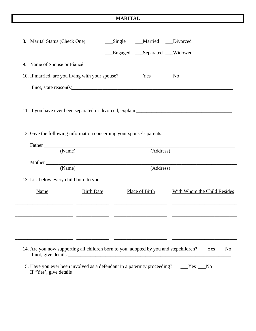#### **MARITAL**

| 8. Marital Status (Check One)           |                                                                                         | __Single ___Married __Divorced |           |                                                                                                  |
|-----------------------------------------|-----------------------------------------------------------------------------------------|--------------------------------|-----------|--------------------------------------------------------------------------------------------------|
|                                         |                                                                                         | Engaged __Separated __Widowed  |           |                                                                                                  |
|                                         | 9. Name of Spouse or Fiancé                                                             |                                |           |                                                                                                  |
|                                         |                                                                                         |                                |           | No                                                                                               |
|                                         |                                                                                         |                                |           |                                                                                                  |
|                                         |                                                                                         |                                |           |                                                                                                  |
|                                         | 12. Give the following information concerning your spouse's parents:                    |                                |           | ,我们也不能在这里的时候,我们也不能在这里的时候,我们也不能在这里的时候,我们也不能会在这里的时候,我们也不能会在这里的时候,我们也不能会在这里的时候,我们也不                 |
|                                         | (Name)                                                                                  |                                | (Address) |                                                                                                  |
|                                         | (Name)                                                                                  |                                | (Address) |                                                                                                  |
| 13. List below every child born to you: |                                                                                         |                                |           |                                                                                                  |
| Name                                    | <b>Birth Date</b>                                                                       | Place of Birth                 |           | With Whom the Child Resides                                                                      |
|                                         |                                                                                         |                                |           |                                                                                                  |
|                                         |                                                                                         |                                |           | 14. Are you now supporting all children born to you, adopted by you and stepchildren? __Yes __No |
|                                         | 15. Have you ever been involved as a defendant in a paternity proceeding? ____Yes ___No |                                |           |                                                                                                  |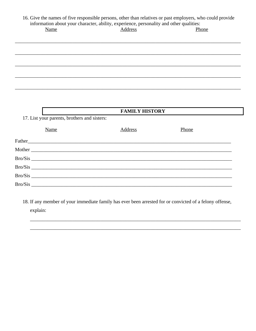| Name                                         | information about your character, ability, experience, personality and other qualities:<br>Address | Phone |
|----------------------------------------------|----------------------------------------------------------------------------------------------------|-------|
|                                              |                                                                                                    |       |
|                                              |                                                                                                    |       |
|                                              |                                                                                                    |       |
|                                              |                                                                                                    |       |
|                                              |                                                                                                    |       |
|                                              |                                                                                                    |       |
| 17. List your parents, brothers and sisters: | <b>FAMILY HISTORY</b>                                                                              |       |
|                                              |                                                                                                    |       |
| Name                                         | Address                                                                                            | Phone |
|                                              |                                                                                                    |       |
|                                              |                                                                                                    |       |
|                                              |                                                                                                    |       |
|                                              | Bro/Sis                                                                                            |       |
|                                              |                                                                                                    |       |
|                                              | Bro/Sis                                                                                            |       |

18. If any member of your immediate family has ever been arrested for or convicted of a felony offense, explain: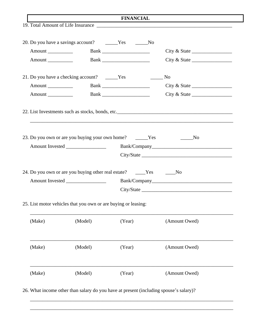| <b>FINANCIAL</b>     |                                                                |                                                                       |                                                                    |  |
|----------------------|----------------------------------------------------------------|-----------------------------------------------------------------------|--------------------------------------------------------------------|--|
|                      |                                                                |                                                                       |                                                                    |  |
|                      |                                                                | 20. Do you have a savings account? ______Yes ______No                 |                                                                    |  |
|                      |                                                                |                                                                       | City & State                                                       |  |
| Amount               |                                                                |                                                                       | City & State                                                       |  |
|                      | 21. Do you have a checking account? _______Yes                 |                                                                       | N <sub>0</sub>                                                     |  |
| Amount _____________ |                                                                |                                                                       | City & State                                                       |  |
| Amount               |                                                                | <b>Bank</b> _______________________                                   | City & State                                                       |  |
|                      |                                                                |                                                                       |                                                                    |  |
|                      |                                                                |                                                                       | 23. Do you own or are you buying your own home? _____Yes _______No |  |
|                      |                                                                |                                                                       |                                                                    |  |
|                      |                                                                |                                                                       |                                                                    |  |
|                      |                                                                | 24. Do you own or are you buying other real estate? _____Yes ______No |                                                                    |  |
|                      |                                                                |                                                                       |                                                                    |  |
|                      |                                                                |                                                                       |                                                                    |  |
|                      | 25. List motor vehicles that you own or are buying or leasing: |                                                                       |                                                                    |  |
| (Make)               | (Model)                                                        | (Year)                                                                | (Amount Owed)                                                      |  |
| (Make)               | (Model)                                                        | (Year)                                                                | (Amount Owed)                                                      |  |
| (Make)               | (Model)                                                        | (Year)                                                                | (Amount Owed)                                                      |  |

26. What income other than salary do you have at present (including spouse's salary)?

\_\_\_\_\_\_\_\_\_\_\_\_\_\_\_\_\_\_\_\_\_\_\_\_\_\_\_\_\_\_\_\_\_\_\_\_\_\_\_\_\_\_\_\_\_\_\_\_\_\_\_\_\_\_\_\_\_\_\_\_\_\_\_\_\_\_\_\_\_\_\_\_\_\_\_\_\_\_\_\_\_

\_\_\_\_\_\_\_\_\_\_\_\_\_\_\_\_\_\_\_\_\_\_\_\_\_\_\_\_\_\_\_\_\_\_\_\_\_\_\_\_\_\_\_\_\_\_\_\_\_\_\_\_\_\_\_\_\_\_\_\_\_\_\_\_\_\_\_\_\_\_\_\_\_\_\_\_\_\_\_\_\_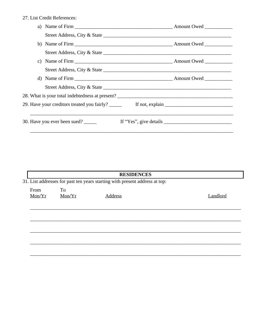27. List Credit References:

| 28. What is your total indebtedness at present? |                        |
|-------------------------------------------------|------------------------|
|                                                 |                        |
| 30. Have you ever been sued?                    | If "Yes", give details |

|                |              | <b>RESIDENCES</b>                                                           |          |
|----------------|--------------|-----------------------------------------------------------------------------|----------|
|                |              | 31. List addresses for past ten years starting with present address at top: |          |
| From<br>Mon/Yr | To<br>Mon/Yr | Address                                                                     | Landlord |
|                |              |                                                                             |          |
|                |              |                                                                             |          |
|                |              |                                                                             |          |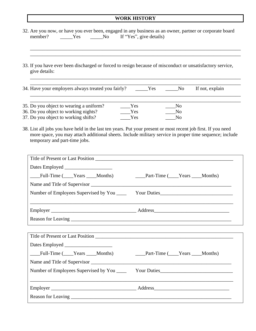### **WORK HISTORY**

| 32. Are you now, or have you ever been, engaged in any business as an owner, partner or corporate board<br>_____Yes ______No If "Yes", give details)<br>member?                                                                                           |
|-----------------------------------------------------------------------------------------------------------------------------------------------------------------------------------------------------------------------------------------------------------|
| 33. If you have ever been discharged or forced to resign because of misconduct or unsatisfactory service,<br>give details:                                                                                                                                |
| 34. Have your employers always treated you fairly? _____Yes _____No<br>If not, explain                                                                                                                                                                    |
| 35. Do you object to wearing a uniform?<br>Yes<br>$\overline{N_{0}}$<br>36. Do you object to working nights?<br>Yes<br>$\mathbf{N}\mathbf{o}$<br>37. Do you object to working shifts?<br>Yes<br>N <sub>o</sub>                                            |
| 38. List all jobs you have held in the last ten years. Put your present or most recent job first. If you need<br>more space, you may attach additional sheets. Include military service in proper time sequence; include<br>temporary and part-time jobs. |
| Full-Time (Years ___Months)<br>____Part-Time (____Years ____Months)                                                                                                                                                                                       |
|                                                                                                                                                                                                                                                           |
| Full-Time (Years Months)<br><b>Part-Time</b> (Years Months)                                                                                                                                                                                               |
|                                                                                                                                                                                                                                                           |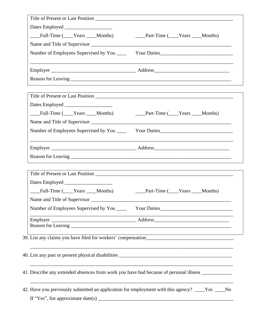| Full-Time (Years Months)           | _____Part-Time (_____Years ____Months)                                                              |
|------------------------------------|-----------------------------------------------------------------------------------------------------|
|                                    |                                                                                                     |
|                                    |                                                                                                     |
|                                    |                                                                                                     |
|                                    |                                                                                                     |
|                                    |                                                                                                     |
|                                    |                                                                                                     |
| Full-Time (Years ___Months)        | _____Part-Time (_____Years ____Months)                                                              |
|                                    |                                                                                                     |
|                                    |                                                                                                     |
|                                    |                                                                                                     |
|                                    |                                                                                                     |
|                                    |                                                                                                     |
|                                    |                                                                                                     |
|                                    |                                                                                                     |
| Full-Time (Years Months)           | ____Part-Time (____Years ____Months)                                                                |
| Name and Title of Supervisor       |                                                                                                     |
|                                    |                                                                                                     |
|                                    |                                                                                                     |
|                                    |                                                                                                     |
|                                    |                                                                                                     |
|                                    |                                                                                                     |
|                                    |                                                                                                     |
|                                    | 41. Describe any extended absences from work you have had because of personal illness _____________ |
|                                    | 42. Have you previously submitted an application for employment with this agency? ____Yes ____No    |
| If "Yes", list approximate date(s) |                                                                                                     |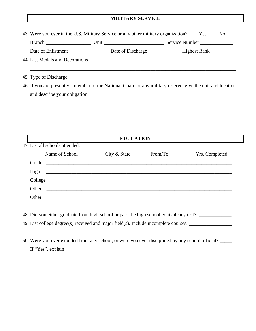#### **MILITARY SERVICE**

| 43. Were you ever in the U.S. Military Service or any other military organization? ____Yes ____No |                               |                                                                                                             |  |  |  |  |
|---------------------------------------------------------------------------------------------------|-------------------------------|-------------------------------------------------------------------------------------------------------------|--|--|--|--|
|                                                                                                   |                               |                                                                                                             |  |  |  |  |
|                                                                                                   |                               |                                                                                                             |  |  |  |  |
|                                                                                                   |                               |                                                                                                             |  |  |  |  |
|                                                                                                   |                               |                                                                                                             |  |  |  |  |
|                                                                                                   |                               |                                                                                                             |  |  |  |  |
|                                                                                                   |                               | 46. If you are presently a member of the National Guard or any military reserve, give the unit and location |  |  |  |  |
|                                                                                                   | and describe your obligation: |                                                                                                             |  |  |  |  |

\_\_\_\_\_\_\_\_\_\_\_\_\_\_\_\_\_\_\_\_\_\_\_\_\_\_\_\_\_\_\_\_\_\_\_\_\_\_\_\_\_\_\_\_\_\_\_\_\_\_\_\_\_\_\_\_\_\_\_\_\_\_\_\_\_\_\_\_\_\_\_\_\_\_\_\_\_\_\_\_\_\_\_

| <b>EDUCATION</b>               |                                                                                        |              |         |                       |  |  |  |  |
|--------------------------------|----------------------------------------------------------------------------------------|--------------|---------|-----------------------|--|--|--|--|
| 47. List all schools attended: |                                                                                        |              |         |                       |  |  |  |  |
|                                | Name of School                                                                         | City & State | From/To | <b>Yrs. Completed</b> |  |  |  |  |
|                                | Grade                                                                                  |              |         |                       |  |  |  |  |
|                                |                                                                                        |              |         |                       |  |  |  |  |
|                                |                                                                                        |              |         |                       |  |  |  |  |
|                                |                                                                                        |              |         |                       |  |  |  |  |
|                                |                                                                                        |              |         |                       |  |  |  |  |
|                                |                                                                                        |              |         |                       |  |  |  |  |
|                                | 48. Did you either graduate from high school or pass the high school equivalency test? |              |         |                       |  |  |  |  |
|                                | 49. List college degree(s) received and major field(s). Include incomplete courses.    |              |         |                       |  |  |  |  |

50. Were you ever expelled from any school, or were you ever disciplined by any school official? \_\_\_\_\_ If "Yes", explain \_\_\_\_\_\_\_\_\_\_\_\_\_\_\_\_\_\_\_\_\_\_\_\_\_\_\_\_\_\_\_\_\_\_\_\_\_\_\_\_\_\_\_\_\_\_\_\_\_\_\_\_\_\_\_\_\_\_\_\_\_\_\_\_\_\_\_

\_\_\_\_\_\_\_\_\_\_\_\_\_\_\_\_\_\_\_\_\_\_\_\_\_\_\_\_\_\_\_\_\_\_\_\_\_\_\_\_\_\_\_\_\_\_\_\_\_\_\_\_\_\_\_\_\_\_\_\_\_\_\_\_\_\_\_\_\_\_\_\_\_\_\_\_\_\_\_\_\_

\_\_\_\_\_\_\_\_\_\_\_\_\_\_\_\_\_\_\_\_\_\_\_\_\_\_\_\_\_\_\_\_\_\_\_\_\_\_\_\_\_\_\_\_\_\_\_\_\_\_\_\_\_\_\_\_\_\_\_\_\_\_\_\_\_\_\_\_\_\_\_\_\_\_\_\_\_\_\_\_\_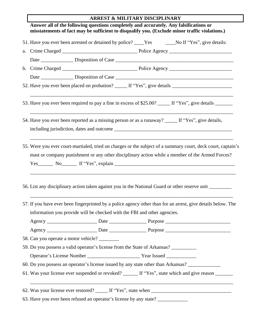## **ARREST & MILITARY DISCIPLINARY**

 $\Gamma$ 

|    | 51. Have you ever been arrested or detained by police? ____Yes _____No If "Yes", give details:                                                                                                                  |  |
|----|-----------------------------------------------------------------------------------------------------------------------------------------------------------------------------------------------------------------|--|
| a. |                                                                                                                                                                                                                 |  |
|    |                                                                                                                                                                                                                 |  |
|    |                                                                                                                                                                                                                 |  |
|    |                                                                                                                                                                                                                 |  |
|    | 52. Have you ever been placed on probation? _____ If "Yes", give details ___________________________                                                                                                            |  |
|    | 53. Have you ever been required to pay a fine in excess of \$25.00? _____ If "Yes", give details ______                                                                                                         |  |
|    | 54. Have you ever been reported as a missing person or as a runaway? _____ If "Yes", give details,                                                                                                              |  |
|    | 55. Were you ever court-martialed, tried on charges or the subject of a summary court, deck court, captain's<br>mast or company punishment or any other disciplinary action while a member of the Armed Forces? |  |
|    | 56. List any disciplinary action taken against you in the National Guard or other reserve unit                                                                                                                  |  |
|    | 57. If you have ever been fingerprinted by a police agency other than for an arrest, give details below. The                                                                                                    |  |
|    | information you provide will be checked with the FBI and other agencies.                                                                                                                                        |  |
|    |                                                                                                                                                                                                                 |  |
|    |                                                                                                                                                                                                                 |  |
|    | 58. Can you operate a motor vehicle?                                                                                                                                                                            |  |
|    | 59. Do you possess a valid operator's license from the State of Arkansas? __________                                                                                                                            |  |
|    |                                                                                                                                                                                                                 |  |
|    | 60. Do you possess an operator's license issued by any state other than Arkansas?                                                                                                                               |  |

63. Have you ever been refused an operator's license by any state? \_\_\_\_\_\_\_\_\_\_\_\_\_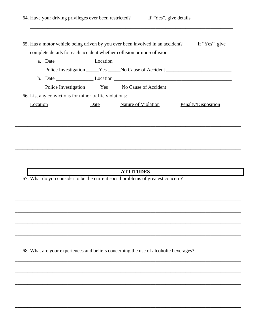|          |                                                                                      |      |                            |  | 65. Has a motor vehicle being driven by you ever been involved in an accident? _____ If "Yes", give |
|----------|--------------------------------------------------------------------------------------|------|----------------------------|--|-----------------------------------------------------------------------------------------------------|
|          | complete details for each accident whether collision or non-collision:               |      |                            |  |                                                                                                     |
|          |                                                                                      |      |                            |  |                                                                                                     |
|          |                                                                                      |      |                            |  | Police Investigation _____Yes _____No Cause of Accident ________________________                    |
|          |                                                                                      |      |                            |  |                                                                                                     |
|          |                                                                                      |      |                            |  | Police Investigation _______ Yes ______ No Cause of Accident ____________________                   |
|          | 66. List any convictions for minor traffic violations:                               |      |                            |  |                                                                                                     |
| Location |                                                                                      | Date | <b>Nature of Violation</b> |  | Penalty/Disposition                                                                                 |
|          |                                                                                      |      | <b>ATTITUDES</b>           |  |                                                                                                     |
|          | 67. What do you consider to be the current social problems of greatest concern?      |      |                            |  |                                                                                                     |
|          |                                                                                      |      |                            |  |                                                                                                     |
|          |                                                                                      |      |                            |  |                                                                                                     |
|          |                                                                                      |      |                            |  |                                                                                                     |
|          |                                                                                      |      |                            |  |                                                                                                     |
|          |                                                                                      |      |                            |  |                                                                                                     |
|          |                                                                                      |      |                            |  |                                                                                                     |
|          |                                                                                      |      |                            |  |                                                                                                     |
|          | 68. What are your experiences and beliefs concerning the use of alcoholic beverages? |      |                            |  |                                                                                                     |
|          |                                                                                      |      |                            |  |                                                                                                     |
|          |                                                                                      |      |                            |  |                                                                                                     |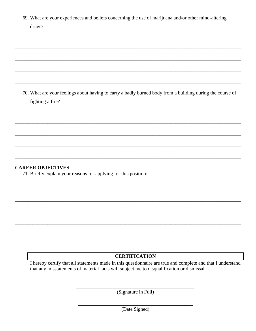69. What are your experiences and beliefs concerning the use of marijuana and/or other mind-altering drugs?

70. What are your feelings about having to carry a badly burned body from a building during the course of fighting a fire?

### **CAREER OBJECTIVES**

71. Briefly explain your reasons for applying for this position:

### **CERTIFICATION**

I hereby certify that all statements made in this questionnaire are true and complete and that I understand that any misstatements of material facts will subject me to disqualification or dismissal.

(Signature in Full)

(Date Signed)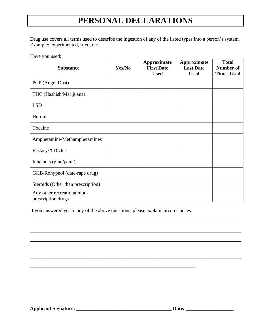## **PERSONAL DECLARATIONS**

Drug use covers all terms used to describe the ingestion of any of the listed types into a person's system. Example: experimented, tried, etc.

Have you used:

| <b>Substance</b>                                  | Yes/No | <b>Approximate</b><br><b>First Date</b><br><b>Used</b> | <b>Approximate</b><br><b>Last Date</b><br><b>Used</b> | <b>Total</b><br><b>Number of</b><br><b>Times Used</b> |
|---------------------------------------------------|--------|--------------------------------------------------------|-------------------------------------------------------|-------------------------------------------------------|
| PCP (Angel Dust)                                  |        |                                                        |                                                       |                                                       |
| THC (Hashish/Marijuana)                           |        |                                                        |                                                       |                                                       |
| <b>LSD</b>                                        |        |                                                        |                                                       |                                                       |
| Heroin                                            |        |                                                        |                                                       |                                                       |
| Cocaine                                           |        |                                                        |                                                       |                                                       |
| Amphetamine/Methamphetamines                      |        |                                                        |                                                       |                                                       |
| Ecstasy/XTC/Ice                                   |        |                                                        |                                                       |                                                       |
| Inhalants (glue/paint)                            |        |                                                        |                                                       |                                                       |
| GHB/Rohypnol (date-rape drug)                     |        |                                                        |                                                       |                                                       |
| Steroids (Other than prescription)                |        |                                                        |                                                       |                                                       |
| Any other recreational/non-<br>prescription drugs |        |                                                        |                                                       |                                                       |

\_\_\_\_\_\_\_\_\_\_\_\_\_\_\_\_\_\_\_\_\_\_\_\_\_\_\_\_\_\_\_\_\_\_\_\_\_\_\_\_\_\_\_\_\_\_\_\_\_\_\_\_\_\_\_\_\_\_\_\_\_\_\_\_\_\_\_\_\_\_\_\_\_\_\_\_\_\_\_\_\_\_\_\_

\_\_\_\_\_\_\_\_\_\_\_\_\_\_\_\_\_\_\_\_\_\_\_\_\_\_\_\_\_\_\_\_\_\_\_\_\_\_\_\_\_\_\_\_\_\_\_\_\_\_\_\_\_\_\_\_\_\_\_\_\_\_\_\_\_\_\_\_\_\_\_\_\_\_\_\_\_\_\_\_\_\_\_\_

\_\_\_\_\_\_\_\_\_\_\_\_\_\_\_\_\_\_\_\_\_\_\_\_\_\_\_\_\_\_\_\_\_\_\_\_\_\_\_\_\_\_\_\_\_\_\_\_\_\_\_\_\_\_\_\_\_\_\_\_\_\_\_\_\_\_\_\_\_\_\_\_\_\_\_\_\_\_\_\_\_\_\_\_

\_\_\_\_\_\_\_\_\_\_\_\_\_\_\_\_\_\_\_\_\_\_\_\_\_\_\_\_\_\_\_\_\_\_\_\_\_\_\_\_\_\_\_\_\_\_\_\_\_\_\_\_\_\_\_\_\_\_\_\_\_\_\_\_\_\_\_\_\_\_\_\_\_\_\_\_\_\_\_\_\_\_\_\_

\_\_\_\_\_\_\_\_\_\_\_\_\_\_\_\_\_\_\_\_\_\_\_\_\_\_\_\_\_\_\_\_\_\_\_\_\_\_\_\_\_\_\_\_\_\_\_\_\_\_\_\_\_\_\_\_\_\_\_\_\_\_\_\_\_\_\_\_\_\_\_\_\_\_\_\_\_\_\_\_\_\_\_\_

If you answered yes to any of the above questions, please explain circumstances:

\_\_\_\_\_\_\_\_\_\_\_\_\_\_\_\_\_\_\_\_\_\_\_\_\_\_\_\_\_\_\_\_\_\_\_\_\_\_\_\_\_\_\_\_\_\_\_\_\_\_\_\_\_\_\_\_\_\_\_\_\_\_\_\_\_\_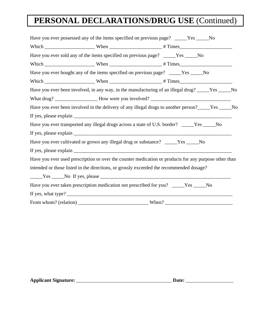## **PERSONAL DECLARATIONS/DRUG USE** (Continued)

| Have you ever possessed any of the items specified on previous page? ____Yes ____No                                                                                                                                                                                                                                                                                                                               |                                                                                                       |
|-------------------------------------------------------------------------------------------------------------------------------------------------------------------------------------------------------------------------------------------------------------------------------------------------------------------------------------------------------------------------------------------------------------------|-------------------------------------------------------------------------------------------------------|
|                                                                                                                                                                                                                                                                                                                                                                                                                   |                                                                                                       |
| Have you ever sold any of the items specified on previous page? _____Yes _____No                                                                                                                                                                                                                                                                                                                                  |                                                                                                       |
|                                                                                                                                                                                                                                                                                                                                                                                                                   |                                                                                                       |
| Have you ever bought any of the items specified on previous page? _____Yes _____No                                                                                                                                                                                                                                                                                                                                |                                                                                                       |
|                                                                                                                                                                                                                                                                                                                                                                                                                   |                                                                                                       |
|                                                                                                                                                                                                                                                                                                                                                                                                                   | Have you ever been involved, in any way, in the manufacturing of an illegal drug? ____Yes ____No      |
|                                                                                                                                                                                                                                                                                                                                                                                                                   |                                                                                                       |
|                                                                                                                                                                                                                                                                                                                                                                                                                   | Have you ever been involved in the delivery of any illegal drugs to another person?_____Yes _____No   |
|                                                                                                                                                                                                                                                                                                                                                                                                                   |                                                                                                       |
| Have you ever transported any illegal drugs across a state of U.S. border? ____Yes ____No                                                                                                                                                                                                                                                                                                                         |                                                                                                       |
|                                                                                                                                                                                                                                                                                                                                                                                                                   |                                                                                                       |
| Have you ever cultivated or grown any illegal drug or substance? ____Yes ____No                                                                                                                                                                                                                                                                                                                                   |                                                                                                       |
|                                                                                                                                                                                                                                                                                                                                                                                                                   |                                                                                                       |
|                                                                                                                                                                                                                                                                                                                                                                                                                   | Have you ever used prescription or over the counter medication or products for any purpose other than |
| intended or those listed in the directions, or grossly exceeded the recommended dosage?                                                                                                                                                                                                                                                                                                                           |                                                                                                       |
|                                                                                                                                                                                                                                                                                                                                                                                                                   |                                                                                                       |
| Have you ever taken prescription medication not prescribed for you? ____Yes ____No                                                                                                                                                                                                                                                                                                                                |                                                                                                       |
| If yes, what type? $\frac{1}{\sqrt{1-\frac{1}{\sqrt{1-\frac{1}{\sqrt{1-\frac{1}{\sqrt{1-\frac{1}{\sqrt{1-\frac{1}{\sqrt{1-\frac{1}{\sqrt{1-\frac{1}{\sqrt{1-\frac{1}{\sqrt{1-\frac{1}{\sqrt{1-\frac{1}{\sqrt{1-\frac{1}{\sqrt{1-\frac{1}{\sqrt{1-\frac{1}{\sqrt{1-\frac{1}{\sqrt{1-\frac{1}{\sqrt{1-\frac{1}{\sqrt{1-\frac{1}{\sqrt{1-\frac{1}{\sqrt{1-\frac{1}{\sqrt{1-\frac{1}{\sqrt{1-\frac{1}{\sqrt{1-\frac{$ |                                                                                                       |
|                                                                                                                                                                                                                                                                                                                                                                                                                   |                                                                                                       |

**Applicant Signature:** \_\_\_\_\_\_\_\_\_\_\_\_\_\_\_\_\_\_\_\_\_\_\_\_\_\_\_\_\_\_\_\_\_\_\_\_\_\_ **Date:** \_\_\_\_\_\_\_\_\_\_\_\_\_\_\_\_\_\_\_